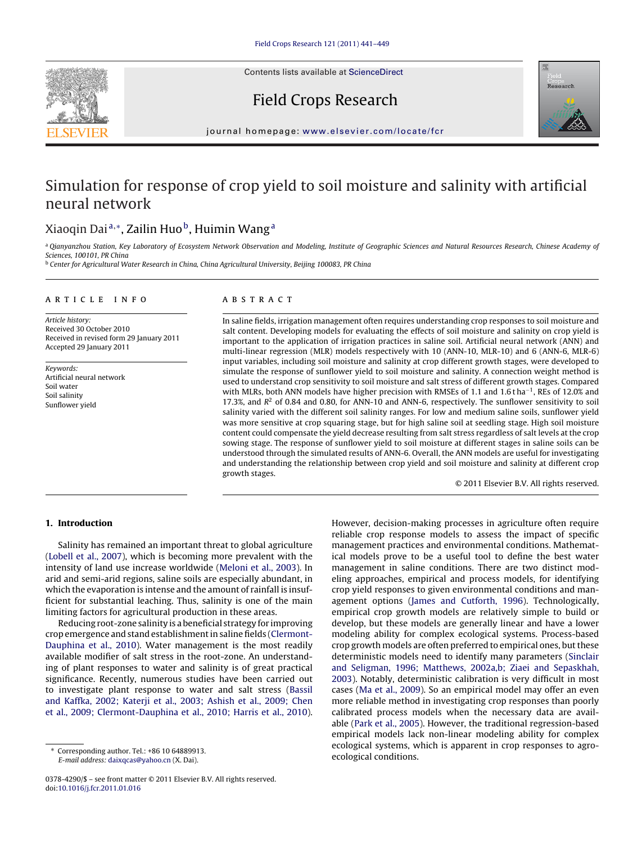Contents lists available at [ScienceDirect](http://www.sciencedirect.com/science/journal/03784290)





journal homepage: [www.elsevier.com/locate/fcr](http://www.elsevier.com/locate/fcr)

# Simulation for response of crop yield to soil moisture and salinity with artificial neural network

# Xiaoqin Dai<sup>a,∗</sup>, Zailin Huo<sup>b</sup>, Huimin Wang<sup>a</sup>

a Oianvanzhou Station, Key Laboratory of Ecosystem Network Observation and Modeling, Institute of Geographic Sciences and Natural Resources Research, Chinese Academy of Sciences, 100101, PR China

<sup>b</sup> Center for Agricultural Water Research in China, China Agricultural University, Beijing 100083, PR China

#### article info

Article history: Received 30 October 2010 Received in revised form 29 January 2011 Accepted 29 January 2011

Keywords: Artificial neural network Soil water Soil salinity Sunflower yield

# **ABSTRACT**

In saline fields, irrigation management often requires understanding crop responses to soil moisture and salt content. Developing models for evaluating the effects of soil moisture and salinity on crop yield is important to the application of irrigation practices in saline soil. Artificial neural network (ANN) and multi-linear regression (MLR) models respectively with 10 (ANN-10, MLR-10) and 6 (ANN-6, MLR-6) input variables, including soil moisture and salinity at crop different growth stages, were developed to simulate the response of sunflower yield to soil moisture and salinity. A connection weight method is used to understand crop sensitivity to soil moisture and salt stress of different growth stages. Compared with MLRs, both ANN models have higher precision with RMSEs of 1.1 and 1.6 t ha<sup>-1</sup>, REs of 12.0% and 17.3%, and  $R<sup>2</sup>$  of 0.84 and 0.80, for ANN-10 and ANN-6, respectively. The sunflower sensitivity to soil salinity varied with the different soil salinity ranges. For low and medium saline soils, sunflower yield was more sensitive at crop squaring stage, but for high saline soil at seedling stage. High soil moisture content could compensate the yield decrease resulting from salt stress regardless of salt levels at the crop sowing stage. The response of sunflower yield to soil moisture at different stages in saline soils can be understood through the simulated results of ANN-6. Overall, the ANN models are useful for investigating and understanding the relationship between crop yield and soil moisture and salinity at different crop growth stages.

© 2011 Elsevier B.V. All rights reserved.

# **1. Introduction**

Salinity has remained an important threat to global agriculture ([Lobell et al., 2007\),](#page-8-0) which is becoming more prevalent with the intensity of land use increase worldwide ([Meloni et al., 2003\).](#page-8-0) In arid and semi-arid regions, saline soils are especially abundant, in which the evaporation is intense and the amount of rainfall is insufficient for substantial leaching. Thus, salinity is one of the main limiting factors for agricultural production in these areas.

Reducing root-zone salinity is a beneficial strategy for improving crop emergence and stand establishment in saline fields [\(Clermont-](#page-8-0)Dauphina [et al., 2010\).](#page-8-0) Water management is the most readily available modifier of salt stress in the root-zone. An understanding of plant responses to water and salinity is of great practical significance. Recently, numerous studies have been carried out to investigate plant response to water and salt stress ([Bassil](#page-8-0) [and Kaffka, 2002; Katerji et al., 2003; Ashish et al., 2009; Chen](#page-8-0) [et al., 2009; Clermont-Dauphina et al., 2010; Harris et al., 2010\).](#page-8-0)

However, decision-making processes in agriculture often require reliable crop response models to assess the impact of specific management practices and environmental conditions. Mathematical models prove to be a useful tool to define the best water management in saline conditions. There are two distinct modeling approaches, empirical and process models, for identifying crop yield responses to given environmental conditions and management options [\(James and Cutforth, 1996\).](#page-8-0) Technologically, empirical crop growth models are relatively simple to build or develop, but these models are generally linear and have a lower modeling ability for complex ecological systems. Process-based crop growth models are often preferred to empirical ones, but these deterministic models need to identify many parameters [\(Sinclair](#page-8-0) [and Seligman, 1996; Matthews, 2002a,b; Ziaei and Sepaskhah,](#page-8-0) [2003\).](#page-8-0) Notably, deterministic calibration is very difficult in most cases [\(Ma et al., 2009\).](#page-8-0) So an empirical model may offer an even more reliable method in investigating crop responses than poorly calibrated process models when the necessary data are available ([Park et al., 2005\).](#page-8-0) However, the traditional regression-based empirical models lack non-linear modeling ability for complex ecological systems, which is apparent in crop responses to agroecological conditions.

<sup>∗</sup> Corresponding author. Tel.: +86 10 64889913. E-mail address: [daixqcas@yahoo.cn](mailto:daixqcas@yahoo.cn) (X. Dai).

<sup>0378-4290/\$ –</sup> see front matter © 2011 Elsevier B.V. All rights reserved. doi:[10.1016/j.fcr.2011.01.016](dx.doi.org/10.1016/j.fcr.2011.01.016)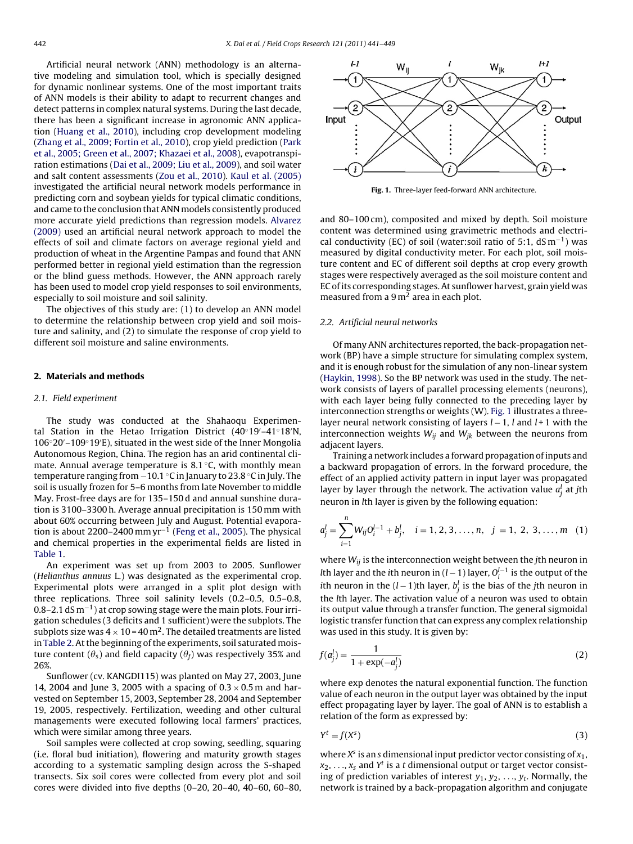Artificial neural network (ANN) methodology is an alternative modeling and simulation tool, which is specially designed for dynamic nonlinear systems. One of the most important traits of ANN models is their ability to adapt to recurrent changes and detect patterns in complex natural systems. During the last decade, there has been a significant increase in agronomic ANN application ([Huang et al., 2010\),](#page-8-0) including crop development modeling ([Zhang et al., 2009; Fortin et al., 2010\),](#page-8-0) crop yield prediction [\(Park](#page-8-0) [et al., 2005; Green et al., 2007; Khazaei et al., 2008\),](#page-8-0) evapotranspiration estimations ([Dai et al., 2009; Liu et al., 2009\),](#page-8-0) and soil water and salt content assessments ([Zou et al., 2010\).](#page-8-0) [Kaul et al. \(2005\)](#page-8-0) investigated the artificial neural network models performance in predicting corn and soybean yields for typical climatic conditions, and came to the conclusion that ANN models consistently produced more accurate yield predictions than regression models. [Alvarez](#page-8-0) [\(2009\)](#page-8-0) used an artificial neural network approach to model the effects of soil and climate factors on average regional yield and production of wheat in the Argentine Pampas and found that ANN performed better in regional yield estimation than the regression or the blind guess methods. However, the ANN approach rarely has been used to model crop yield responses to soil environments, especially to soil moisture and soil salinity.

The objectives of this study are: (1) to develop an ANN model to determine the relationship between crop yield and soil moisture and salinity, and (2) to simulate the response of crop yield to different soil moisture and saline environments.

#### **2. Materials and methods**

#### 2.1. Field experiment

The study was conducted at the Shahaoqu Experimental Station in the Hetao Irrigation District (40◦19 –41◦18 N, 106◦20 –109◦19 E), situated in the west side of the Inner Mongolia Autonomous Region, China. The region has an arid continental climate. Annual average temperature is 8.1 ◦C, with monthly mean temperature ranging from −10.1 ◦C in January to 23.8 ◦C in July. The soil is usually frozen for 5–6 months from late November to middle May. Frost-free days are for 135–150 d and annual sunshine duration is 3100–3300 h. Average annual precipitation is 150 mm with about 60% occurring between July and August. Potential evaporation is about 2200–2400 mm  $\text{yr}^{-1}$  ([Feng et al., 2005\).](#page-8-0) The physical and chemical properties in the experimental fields are listed in [Table 1.](#page-2-0)

An experiment was set up from 2003 to 2005. Sunflower (Helianthus annuus L.) was designated as the experimental crop. Experimental plots were arranged in a split plot design with three replications. Three soil salinity levels (0.2–0.5, 0.5–0.8, 0.8–2.1 dS m−1) at crop sowing stage were the main plots. Four irrigation schedules (3 deficits and 1 sufficient) were the subplots. The subplots size was  $4 \times 10 = 40$  m<sup>2</sup>. The detailed treatments are listed in [Table 2. A](#page-2-0)t the beginning of the experiments, soil saturated moisture content ( $\theta_{\text{\tiny S}}$ ) and field capacity ( $\theta_{\text{\scriptsize f}}$ ) was respectively 35% and 26%.

Sunflower (cv. KANGDI115) was planted on May 27, 2003, June 14, 2004 and June 3, 2005 with a spacing of  $0.3 \times 0.5$  m and harvested on September 15, 2003, September 28, 2004 and September 19, 2005, respectively. Fertilization, weeding and other cultural managements were executed following local farmers' practices, which were similar among three years.

Soil samples were collected at crop sowing, seedling, squaring (i.e. floral bud initiation), flowering and maturity growth stages according to a systematic sampling design across the S-shaped transects. Six soil cores were collected from every plot and soil cores were divided into five depths (0–20, 20–40, 40–60, 60–80,



**Fig. 1.** Three-layer feed-forward ANN architecture.

and 80–100 cm), composited and mixed by depth. Soil moisture content was determined using gravimetric methods and electrical conductivity (EC) of soil (water:soil ratio of 5:1, dS m<sup>-1</sup>) was measured by digital conductivity meter. For each plot, soil moisture content and EC of different soil depths at crop every growth stages were respectively averaged as the soil moisture content and EC of its corresponding stages. At sunflower harvest, grain yield was measured from a  $9 \,\mathrm{m}^2$  area in each plot.

#### 2.2. Artificial neural networks

Of many ANN architectures reported, the back-propagation network (BP) have a simple structure for simulating complex system, and it is enough robust for the simulation of any non-linear system [\(Haykin, 1998\).](#page-8-0) So the BP network was used in the study. The network consists of layers of parallel processing elements (neurons), with each layer being fully connected to the preceding layer by interconnection strengths or weights (W). Fig. 1 illustrates a threelayer neural network consisting of layers  $l-1$ ,  $l$  and  $l+1$  with the interconnection weights  $W_{ij}$  and  $W_{jk}$  between the neurons from adjacent layers.

Training a network includes a forward propagation of inputs and a backward propagation of errors. In the forward procedure, the effect of an applied activity pattern in input layer was propagated layer by layer through the network. The activation value  $a_j^l$  at  $j$ th neuron in lth layer is given by the following equation:

$$
a_j^l = \sum_{i=1}^n W_{ij} O_i^{l-1} + b_j^l, \quad i = 1, 2, 3, ..., n, \quad j = 1, 2, 3, ..., m \quad (1)
$$

where  $W_{ij}$  is the interconnection weight between the jth neuron in *l*th layer and the ith neuron in (*l* – 1) layer,  $O_i^{l-1}$  is the output of the *i*th neuron in the (l − 1)th layer,  $b_j^l$  is the bias of the jth neuron in the lth layer. The activation value of a neuron was used to obtain its output value through a transfer function. The general sigmoidal logistic transfer function that can express any complex relationship was used in this study. It is given by:

$$
f(a_j^l) = \frac{1}{1 + \exp(-a_j^l)}
$$
 (2)

where exp denotes the natural exponential function. The function value of each neuron in the output layer was obtained by the input effect propagating layer by layer. The goal of ANN is to establish a relation of the form as expressed by:

$$
Y^t = f(X^s) \tag{3}
$$

where  $X^s$  is an s dimensional input predictor vector consisting of  $x_1$ ,  $x_2, \ldots, x_s$  and  $Y^t$  is a t dimensional output or target vector consisting of prediction variables of interest  $y_1, y_2, \ldots, y_t$ . Normally, the network is trained by a back-propagation algorithm and conjugate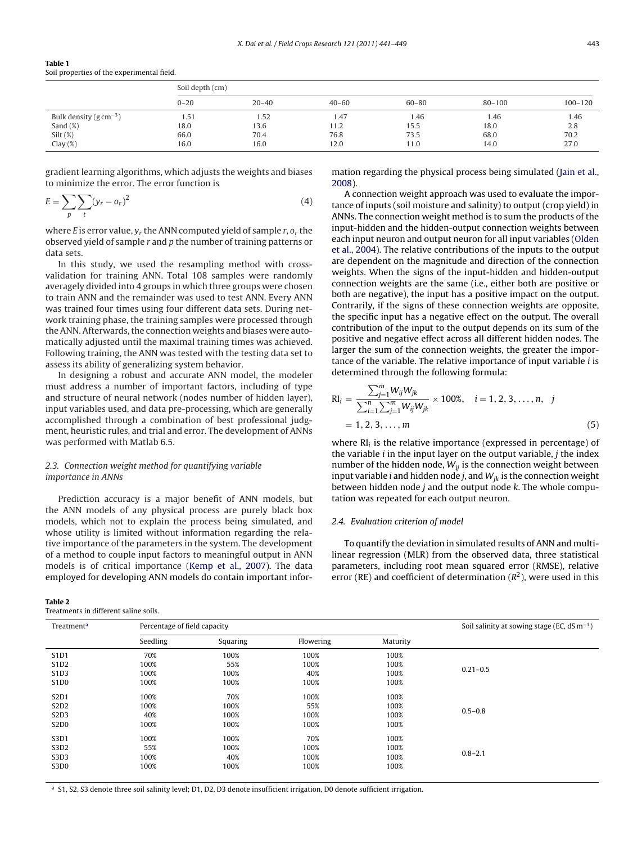<span id="page-2-0"></span>

| Table 1                                    |  |
|--------------------------------------------|--|
| Soil properties of the experimental field. |  |

|                                      | Soil depth (cm) |           |           |           |            |             |  |  |  |  |  |
|--------------------------------------|-----------------|-----------|-----------|-----------|------------|-------------|--|--|--|--|--|
|                                      | $0 - 20$        | $20 - 40$ | $40 - 60$ | $60 - 80$ | $80 - 100$ | $100 - 120$ |  |  |  |  |  |
| Bulk density ( $g \text{ cm}^{-3}$ ) | 1.51            | 1.52      | 1.47      | 1.46      | 1.46       | 1.46        |  |  |  |  |  |
| Sand $(\%)$                          | 18.0            | 13.6      | 11.2      | 15.5      | 18.0       | 2.8         |  |  |  |  |  |
| $Silt$ (%)                           | 66.0            | 70.4      | 76.8      | 73.5      | 68.0       | 70.2        |  |  |  |  |  |
| Clay $(\%)$                          | 16.0            | 16.0      | 12.0      | 11.0      | 14.0       | 27.0        |  |  |  |  |  |

gradient learning algorithms, which adjusts the weights and biases to minimize the error. The error function is

$$
E = \sum_{p} \sum_{t} (y_r - o_r)^2 \tag{4}
$$

where E is error value,  $y_r$  the ANN computed yield of sample r,  $o_r$  the observed yield of sample r and p the number of training patterns or data sets.

In this study, we used the resampling method with crossvalidation for training ANN. Total 108 samples were randomly averagely divided into 4 groups in which three groups were chosen to train ANN and the remainder was used to test ANN. Every ANN was trained four times using four different data sets. During network training phase, the training samples were processed through the ANN. Afterwards, the connection weights and biases were automatically adjusted until the maximal training times was achieved. Following training, the ANN was tested with the testing data set to assess its ability of generalizing system behavior.

In designing a robust and accurate ANN model, the modeler must address a number of important factors, including of type and structure of neural network (nodes number of hidden layer), input variables used, and data pre-processing, which are generally accomplished through a combination of best professional judgment, heuristic rules, and trial and error. The development of ANNs was performed with Matlab 6.5.

# 2.3. Connection weight method for quantifying variable importance in ANNs

Prediction accuracy is a major benefit of ANN models, but the ANN models of any physical process are purely black box models, which not to explain the process being simulated, and whose utility is limited without information regarding the relative importance of the parameters in the system. The development of a method to couple input factors to meaningful output in ANN models is of critical importance [\(Kemp et al., 2007\).](#page-8-0) The data employed for developing ANN models do contain important infor-

Treatments in different saline soils.

mation regarding the physical process being simulated ([Jain et al.,](#page-8-0) [2008\).](#page-8-0)

A connection weight approach was used to evaluate the importance of inputs (soil moisture and salinity) to output (crop yield) in ANNs. The connection weight method is to sum the products of the input-hidden and the hidden-output connection weights between each input neuron and output neuron for all input variables [\(Olden](#page-8-0) [et al., 2004\).](#page-8-0) The relative contributions of the inputs to the output are dependent on the magnitude and direction of the connection weights. When the signs of the input-hidden and hidden-output connection weights are the same (i.e., either both are positive or both are negative), the input has a positive impact on the output. Contrarily, if the signs of these connection weights are opposite, the specific input has a negative effect on the output. The overall contribution of the input to the output depends on its sum of the positive and negative effect across all different hidden nodes. The larger the sum of the connection weights, the greater the importance of the variable. The relative importance of input variable i is determined through the following formula:

$$
RI_{i} = \frac{\sum_{j=1}^{m} W_{ij} W_{jk}}{\sum_{i=1}^{n} \sum_{j=1}^{m} W_{ij} W_{jk}} \times 100\%, \quad i = 1, 2, 3, ..., n, \quad j
$$
  
= 1, 2, 3, ..., m (5)

where  $RI_i$  is the relative importance (expressed in percentage) of the variable  $i$  in the input layer on the output variable,  $j$  the index number of the hidden node,  $W_{ij}$  is the connection weight between input variable *i* and hidden node *j*, and  $W_{ik}$  is the connection weight between hidden node  $j$  and the output node  $k$ . The whole computation was repeated for each output neuron.

## 2.4. Evaluation criterion of model

To quantify the deviation in simulated results of ANN and multilinear regression (MLR) from the observed data, three statistical parameters, including root mean squared error (RMSE), relative error (RE) and coefficient of determination  $(R^2)$ , were used in this

| Treatment <sup>a</sup>        | Percentage of field capacity |          | Soil salinity at sowing stage (EC, $dS \, m^{-1}$ ) |          |              |
|-------------------------------|------------------------------|----------|-----------------------------------------------------|----------|--------------|
|                               | Seedling                     | Squaring | Flowering                                           | Maturity |              |
| S1D1                          | 70%                          | 100%     | 100%                                                | 100%     |              |
| S <sub>1</sub> D <sub>2</sub> | 100%                         | 55%      | 100%                                                | 100%     |              |
| S1D3                          | 100%                         | 100%     | 40%                                                 | 100%     | $0.21 - 0.5$ |
| S <sub>1</sub> D <sub>0</sub> | 100%                         | 100%     | 100%                                                | 100%     |              |
| S <sub>2</sub> D <sub>1</sub> | 100%                         | 70%      | 100%                                                | 100%     |              |
| S <sub>2</sub> D <sub>2</sub> | 100%                         | 100%     | 55%                                                 | 100%     |              |
| S <sub>2</sub> D <sub>3</sub> | 40%                          | 100%     | 100%                                                | 100%     | $0.5 - 0.8$  |
| S <sub>2</sub> D <sub>0</sub> | 100%                         | 100%     | 100%                                                | 100%     |              |
| S3D1                          | 100%                         | 100%     | 70%                                                 | 100%     |              |
| S3D2                          | 55%                          | 100%     | 100%                                                | 100%     |              |
| S3D3                          | 100%                         | 40%      | 100%                                                | 100%     | $0.8 - 2.1$  |
| S3D <sub>0</sub>              | 100%                         | 100%     | 100%                                                | 100%     |              |

<sup>a</sup> S1, S2, S3 denote three soil salinity level; D1, D2, D3 denote insufficient irrigation, D0 denote sufficient irrigation.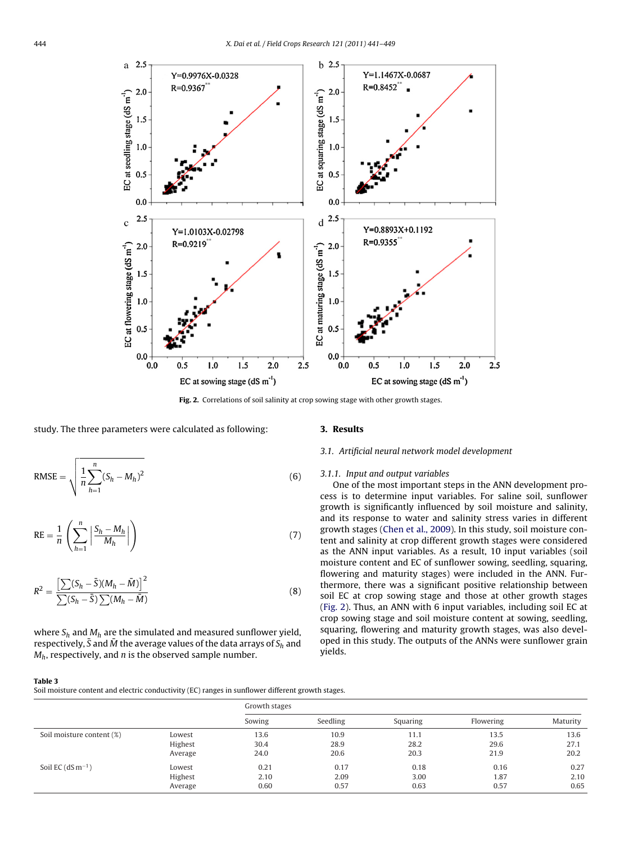<span id="page-3-0"></span>

**Fig. 2.** Correlations of soil salinity at crop sowing stage with other growth stages.

#### study. The three parameters were calculated as following:

RMSE = 
$$
\sqrt{\frac{1}{n} \sum_{h=1}^{n} (S_h - M_h)^2}
$$
 (6)

$$
RE = \frac{1}{n} \left( \sum_{h=1}^{n} \left| \frac{S_h - M_h}{M_h} \right| \right) \tag{7}
$$

$$
R^{2} = \frac{\left[\sum(S_{h} - \bar{S})(M_{h} - \bar{M})\right]^{2}}{\sum(S_{h} - \bar{S})\sum(M_{h} - \bar{M})}
$$
(8)

where  $S_h$  and  $M_h$  are the simulated and measured sunflower yield, respectively,  $\bar{S}$  and  $\bar{M}$  the average values of the data arrays of  $S_h$  and  $M_h$ , respectively, and *n* is the observed sample number.

# **3. Results**

# 3.1. Artificial neural network model development

# 3.1.1. Input and output variables

One of the most important steps in the ANN development process is to determine input variables. For saline soil, sunflower growth is significantly influenced by soil moisture and salinity, and its response to water and salinity stress varies in different growth stages ([Chen et al., 2009\).](#page-8-0) In this study, soil moisture content and salinity at crop different growth stages were considered as the ANN input variables. As a result, 10 input variables (soil moisture content and EC of sunflower sowing, seedling, squaring, flowering and maturity stages) were included in the ANN. Furthermore, there was a significant positive relationship between soil EC at crop sowing stage and those at other growth stages (Fig. 2). Thus, an ANN with 6 input variables, including soil EC at crop sowing stage and soil moisture content at sowing, seedling, squaring, flowering and maturity growth stages, was also developed in this study. The outputs of the ANNs were sunflower grain yields.

#### **Table 3**

Soil moisture content and electric conductivity (EC) ranges in sunflower different growth stages.

|                           |         | Growth stages |          |          |           |          |  |  |  |  |  |  |
|---------------------------|---------|---------------|----------|----------|-----------|----------|--|--|--|--|--|--|
|                           |         | Sowing        | Seedling | Squaring | Flowering | Maturity |  |  |  |  |  |  |
| Soil moisture content (%) | Lowest  | 13.6          | 10.9     | 11.1     | 13.5      | 13.6     |  |  |  |  |  |  |
|                           | Highest | 30.4          | 28.9     | 28.2     | 29.6      | 27.1     |  |  |  |  |  |  |
|                           | Average | 24.0          | 20.6     | 20.3     | 21.9      | 20.2     |  |  |  |  |  |  |
| Soil EC $(dS m^{-1})$     | Lowest  | 0.21          | 0.17     | 0.18     | 0.16      | 0.27     |  |  |  |  |  |  |
|                           | Highest | 2.10          | 2.09     | 3.00     | 1.87      | 2.10     |  |  |  |  |  |  |
|                           | Average | 0.60          | 0.57     | 0.63     | 0.57      | 0.65     |  |  |  |  |  |  |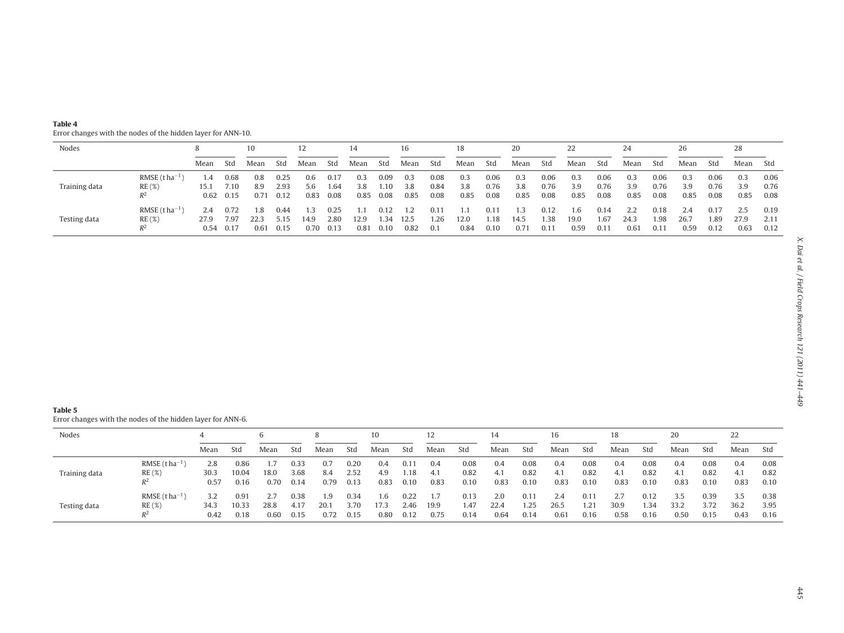<span id="page-4-0"></span>

| Table 4                                                      |
|--------------------------------------------------------------|
| Error changes with the nodes of the hidden layer for ANN-10. |

| Nodes         |                                    |                     |                           | 10                  |                      | 12                 |                      | 14                 |                      | 16                 |                      |                    |                      | 20                 |                      |                     |                               | 24                  |                      | 26                  |                      | 28                  |                      |
|---------------|------------------------------------|---------------------|---------------------------|---------------------|----------------------|--------------------|----------------------|--------------------|----------------------|--------------------|----------------------|--------------------|----------------------|--------------------|----------------------|---------------------|-------------------------------|---------------------|----------------------|---------------------|----------------------|---------------------|----------------------|
|               |                                    | Mean                | Std                       | Mean                | Std                  | Mean               | Std                  | Mean               | Std                  | Mean               | Std                  | Mean               | Std                  | Mean               | Std                  | Mean                | Std                           | Mean                | Std                  | Mean                | Std                  | Mean                | Std                  |
| Training data | $RMSE$ (tha <sup>-1</sup><br>RE(%) | 1.4<br>15.1<br>0.62 | 0.68<br>7.10<br>0.15      | 0.8<br>8.9<br>0.71  | 0.25<br>2.93<br>0.12 | 0.6<br>5.6<br>0.83 | 0.17<br>1.64<br>0.08 | 0.3<br>3.8<br>0.85 | 0.09<br>1.10<br>0.08 | 0.3<br>3.8<br>0.85 | 0.08<br>0.84<br>0.08 | 0.3<br>3.8<br>0.85 | 0.06<br>0.76<br>0.08 | 0.3<br>3.8<br>0.85 | 0.06<br>0.76<br>0.08 | 0.3<br>3.9<br>0.85  | 0.06<br>0.76<br>0.08          | 0.3<br>3.9<br>0.85  | 0.06<br>0.76<br>0.08 | 0.3<br>3.9<br>0.85  | 0.06<br>0.76<br>0.08 | 0.3<br>3.9<br>0.85  | 0.06<br>0.76<br>0.08 |
| Testing data  | RMSE $(t ha^{-1})$<br>RE(%)        | 2.4<br>27.9         | 0.72<br>7.97<br>0.54 0.17 | l.8<br>22.3<br>0.61 | 0.44<br>5.15<br>0.15 | 14.9<br>0.70       | 0.25<br>2.80<br>0.13 | 12.9<br>0.81       | 0.12<br>1.34<br>0.10 | 12.5<br>0.82       | 0.11<br>1.26<br>0.1  | 12.0<br>0.84       | 0.11<br>1.18<br>0.10 | 14.5<br>0.71       | 0.12<br>1.38<br>0.11 | 1.6<br>19.0<br>0.59 | 0.14<br>1.67<br>$0.1^{\circ}$ | 2.2<br>24.3<br>0.61 | 0.18<br>. 98<br>0.11 | 2.4<br>26.7<br>0.59 | 0.17<br>1.89<br>0.12 | 2.5<br>27.9<br>0.63 | 0.19<br>2.11<br>0.12 |

Error changes with the nodes of the hidden layer for ANN-6.

| Nodes         |                                      |                     |                       | b            |                      |                     |                      | 10                  |                               |                    |                      | 14                  |                               | 16                  |                      | 18                  |                      | 20                  |                      | 22                  |                      |
|---------------|--------------------------------------|---------------------|-----------------------|--------------|----------------------|---------------------|----------------------|---------------------|-------------------------------|--------------------|----------------------|---------------------|-------------------------------|---------------------|----------------------|---------------------|----------------------|---------------------|----------------------|---------------------|----------------------|
|               |                                      | Mean                | Std                   | Mean         | Std                  | Mean                | Std                  | Mean                | Std                           | Mean               | Std                  | Mean                | Std                           | Mean                | Std                  | Mean                | Std                  | Mean                | Std                  | Mean                | Std                  |
| Training data | RMSE $(t ha^{-1})$<br>RE(%)<br>₽∠    | 2.8<br>30.3<br>0.57 | 0.86<br>10.04<br>0.16 | 18.0<br>0.70 | 0.33<br>3.68<br>0.14 | 0.7<br>8.4<br>0.79  | 0.20<br>2.52<br>0.13 | 0.4<br>4.9<br>0.83  | $0.1^{\circ}$<br>1.18<br>0.10 | 0.4<br>4.1<br>0.83 | 0.08<br>0.82<br>0.10 | 0.4<br>4.1<br>0.83  | 0.08<br>0.82<br>0.10          | 0.4<br>4.1<br>0.83  | 0.08<br>0.82<br>0.10 | 0.4<br>4.1<br>0.83  | 0.08<br>0.82<br>0.10 | 0.4<br>4.1<br>0.83  | 0.08<br>0.82<br>0.10 | 0.4<br>4.1<br>0.83  | 0.08<br>0.82<br>0.10 |
| Testing data  | RMSE $(t ha^{-1})$<br>RE(%)<br>$R^2$ | 34.3<br>0.42        | 0.91<br>10.33<br>0.18 | 28.8<br>0.60 | 0.38<br>4.17<br>0.15 | 1.9<br>20.1<br>0.72 | 0.34<br>3.70<br>0.15 | 1.6<br>17.3<br>0.80 | 0.22<br>2.46<br>0.12          | 19.9<br>0.75       | 0.13<br>1.47<br>0.14 | 2.0<br>22.4<br>0.64 | $0.1^{\circ}$<br>1.25<br>0.14 | 2.4<br>26.5<br>0.61 | 0.11<br>1.21<br>0.16 | 2.7<br>30.9<br>0.58 | 0.12<br>l.34<br>0.16 | 3.5<br>33.2<br>0.50 | 0.39<br>3.72<br>0.15 | 3.5<br>36.2<br>0.43 | 0.38<br>3.95<br>0.16 |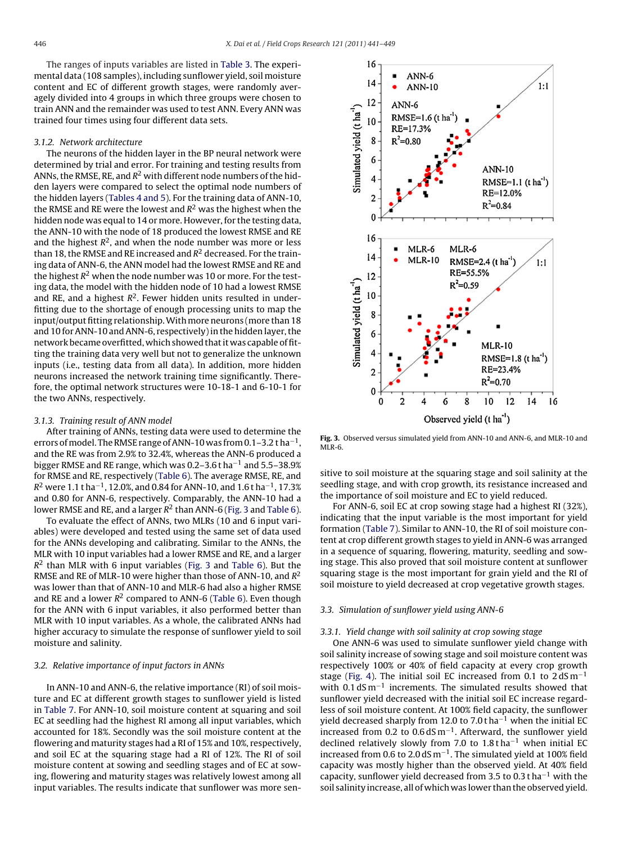The ranges of inputs variables are listed in [Table 3. T](#page-3-0)he experimental data (108 samples), including sunflower yield, soil moisture content and EC of different growth stages, were randomly averagely divided into 4 groups in which three groups were chosen to train ANN and the remainder was used to test ANN. Every ANN was trained four times using four different data sets.

### 3.1.2. Network architecture

The neurons of the hidden layer in the BP neural network were determined by trial and error. For training and testing results from ANNs, the RMSE, RE, and  $R^2$  with different node numbers of the hidden layers were compared to select the optimal node numbers of the hidden layers [\(Tables 4 and 5\).](#page-4-0) For the training data of ANN-10, the RMSE and RE were the lowest and  $R^2$  was the highest when the hidden node was equal to 14 or more. However, for the testing data, the ANN-10 with the node of 18 produced the lowest RMSE and RE and the highest  $R^2$ , and when the node number was more or less than 18, the RMSE and RE increased and  $R^2$  decreased. For the training data of ANN-6, the ANN model had the lowest RMSE and RE and the highest  $R^2$  when the node number was 10 or more. For the testing data, the model with the hidden node of 10 had a lowest RMSE and RE, and a highest  $R^2$ . Fewer hidden units resulted in underfitting due to the shortage of enough processing units to map the input/output fitting relationship. With more neurons (more than 18 and 10 for ANN-10 and ANN-6, respectively) in the hidden layer, the network became overfitted, which showed that it was capable of fitting the training data very well but not to generalize the unknown inputs (i.e., testing data from all data). In addition, more hidden neurons increased the network training time significantly. Therefore, the optimal network structures were 10-18-1 and 6-10-1 for the two ANNs, respectively.

#### 3.1.3. Training result of ANN model

After training of ANNs, testing data were used to determine the errors of model. The RMSE range of ANN-10 was from 0.1–3.2 t ha<sup>-1</sup>, and the RE was from 2.9% to 32.4%, whereas the ANN-6 produced a bigger RMSE and RE range, which was 0.2–3.6 t ha−<sup>1</sup> and 5.5–38.9% for RMSE and RE, respectively ([Table 6\).](#page-6-0) The average RMSE, RE, and  $R^2$  were 1.1 t ha<sup>-1</sup>, 12.0%, and 0.84 for ANN-10, and 1.6 t ha<sup>-1</sup>, 17.3% and 0.80 for ANN-6, respectively. Comparably, the ANN-10 had a lower RMSE and RE, and a larger  $R^2$  than ANN-6 (Fig. 3 and [Table 6\).](#page-6-0)

To evaluate the effect of ANNs, two MLRs (10 and 6 input variables) were developed and tested using the same set of data used for the ANNs developing and calibrating. Similar to the ANNs, the MLR with 10 input variables had a lower RMSE and RE, and a larger  $R<sup>2</sup>$  than MLR with 6 input variables (Fig. 3 and [Table 6\).](#page-6-0) But the RMSE and RE of MLR-10 were higher than those of ANN-10, and  $R^2$ was lower than that of ANN-10 and MLR-6 had also a higher RMSE and RE and a lower  $R^2$  compared to ANN-6 ([Table 6\).](#page-6-0) Even though for the ANN with 6 input variables, it also performed better than MLR with 10 input variables. As a whole, the calibrated ANNs had higher accuracy to simulate the response of sunflower yield to soil moisture and salinity.

# 3.2. Relative importance of input factors in ANNs

In ANN-10 and ANN-6, the relative importance (RI) of soil moisture and EC at different growth stages to sunflower yield is listed in [Table 7. F](#page-6-0)or ANN-10, soil moisture content at squaring and soil EC at seedling had the highest RI among all input variables, which accounted for 18%. Secondly was the soil moisture content at the flowering and maturity stages had a RI of 15% and 10%, respectively, and soil EC at the squaring stage had a RI of 12%. The RI of soil moisture content at sowing and seedling stages and of EC at sowing, flowering and maturity stages was relatively lowest among all input variables. The results indicate that sunflower was more sen-



**Fig. 3.** Observed versus simulated yield from ANN-10 and ANN-6, and MLR-10 and MLR-6.

sitive to soil moisture at the squaring stage and soil salinity at the seedling stage, and with crop growth, its resistance increased and the importance of soil moisture and EC to yield reduced.

For ANN-6, soil EC at crop sowing stage had a highest RI (32%), indicating that the input variable is the most important for yield formation [\(Table 7\).](#page-6-0) Similar to ANN-10, the RI of soil moisture content at crop different growth stages to yield in ANN-6 was arranged in a sequence of squaring, flowering, maturity, seedling and sowing stage. This also proved that soil moisture content at sunflower squaring stage is the most important for grain yield and the RI of soil moisture to yield decreased at crop vegetative growth stages.

# 3.3. Simulation of sunflower yield using ANN-6

#### 3.3.1. Yield change with soil salinity at crop sowing stage

One ANN-6 was used to simulate sunflower yield change with soil salinity increase of sowing stage and soil moisture content was respectively 100% or 40% of field capacity at every crop growth stage ([Fig. 4\).](#page-6-0) The initial soil EC increased from 0.1 to  $2 dS m^{-1}$ with 0.1 dS m<sup>-1</sup> increments. The simulated results showed that sunflower yield decreased with the initial soil EC increase regardless of soil moisture content. At 100% field capacity, the sunflower yield decreased sharply from 12.0 to 7.0 t ha−<sup>1</sup> when the initial EC increased from 0.2 to  $0.6$  dS m<sup>-1</sup>. Afterward, the sunflower yield declined relatively slowly from 7.0 to 1.8 tha<sup>-1</sup> when initial EC increased from 0.6 to 2.0 dS m<sup>-1</sup>. The simulated yield at 100% field capacity was mostly higher than the observed yield. At 40% field capacity, sunflower yield decreased from 3.5 to 0.3 t ha<sup>-1</sup> with the soil salinity increase, all of which was lower than the observed yield.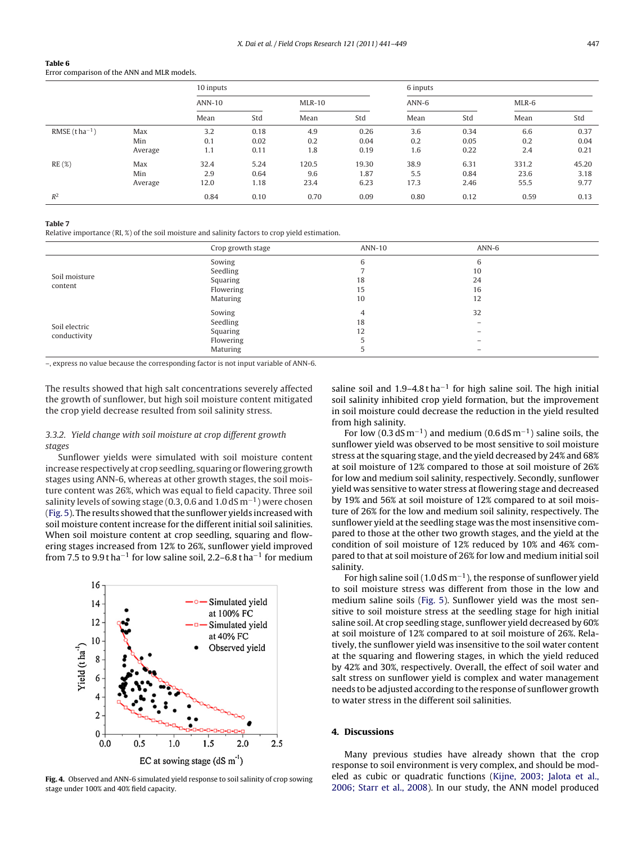#### <span id="page-6-0"></span>**Table 6** Error comparison of the ANN and MLR models.

|                    |         | 10 inputs |      |          |       | 6 inputs |      |       |       |  |  |  |
|--------------------|---------|-----------|------|----------|-------|----------|------|-------|-------|--|--|--|
|                    |         | ANN-10    |      | $MLR-10$ |       | $ANN-6$  |      | MLR-6 |       |  |  |  |
|                    |         | Mean      | Std  | Mean     | Std   | Mean     | Std  | Mean  | Std   |  |  |  |
| RMSE $(t ha^{-1})$ | Max     | 3.2       | 0.18 | 4.9      | 0.26  | 3.6      | 0.34 | 6.6   | 0.37  |  |  |  |
|                    | Min     | 0.1       | 0.02 | 0.2      | 0.04  | 0.2      | 0.05 | 0.2   | 0.04  |  |  |  |
|                    | Average | 1.1       | 0.11 | 1.8      | 0.19  | 1.6      | 0.22 | 2.4   | 0.21  |  |  |  |
| RE(%)              | Max     | 32.4      | 5.24 | 120.5    | 19.30 | 38.9     | 6.31 | 331.2 | 45.20 |  |  |  |
|                    | Min     | 2.9       | 0.64 | 9.6      | 1.87  | 5.5      | 0.84 | 23.6  | 3.18  |  |  |  |
|                    | Average | 12.0      | 1.18 | 23.4     | 6.23  | 17.3     | 2.46 | 55.5  | 9.77  |  |  |  |
| $R^2$              |         | 0.84      | 0.10 | 0.70     | 0.09  | 0.80     | 0.12 | 0.59  | 0.13  |  |  |  |

#### **Table 7**

Relative importance (RI, %) of the soil moisture and salinity factors to crop yield estimation.

|               | Crop growth stage | ANN-10 | $ANN-6$                  |
|---------------|-------------------|--------|--------------------------|
|               | Sowing            |        | 6                        |
| Soil moisture | Seedling          |        | 10                       |
|               | Squaring          | 18     | 24                       |
| content       | Flowering         | 15     | 16                       |
|               | Maturing          | 10     | 12                       |
|               | Sowing            | 4      | 32                       |
| Soil electric | Seedling          | 18     | $\overline{\phantom{0}}$ |
| conductivity  | Squaring          | 12     |                          |
|               | Flowering         |        |                          |
|               | Maturing          |        |                          |

–, express no value because the corresponding factor is not input variable of ANN-6.

The results showed that high salt concentrations severely affected the growth of sunflower, but high soil moisture content mitigated the crop yield decrease resulted from soil salinity stress.

# 3.3.2. Yield change with soil moisture at crop different growth stages

Sunflower yields were simulated with soil moisture content increase respectively at crop seedling, squaring or flowering growth stages using ANN-6, whereas at other growth stages, the soil moisture content was 26%, which was equal to field capacity. Three soil salinity levels of sowing stage (0.3, 0.6 and 1.0 dS m<sup>-1</sup>) were chosen ([Fig. 5\).](#page-7-0) The results showed that the sunflower yields increased with soil moisture content increase for the different initial soil salinities. When soil moisture content at crop seedling, squaring and flowering stages increased from 12% to 26%, sunflower yield improved from 7.5 to 9.9 t ha<sup>-1</sup> for low saline soil, 2.2–6.8 t ha<sup>-1</sup> for medium



**Fig. 4.** Observed and ANN-6 simulated yield response to soil salinity of crop sowing stage under 100% and 40% field capacity.

saline soil and 1.9–4.8 tha<sup>-1</sup> for high saline soil. The high initial soil salinity inhibited crop yield formation, but the improvement in soil moisture could decrease the reduction in the yield resulted from high salinity.

For low (0.3 dS m<sup>-1</sup>) and medium (0.6 dS m<sup>-1</sup>) saline soils, the sunflower yield was observed to be most sensitive to soil moisture stress at the squaring stage, and the yield decreased by 24% and 68% at soil moisture of 12% compared to those at soil moisture of 26% for low and medium soil salinity, respectively. Secondly, sunflower yield was sensitive to water stress at flowering stage and decreased by 19% and 56% at soil moisture of 12% compared to at soil moisture of 26% for the low and medium soil salinity, respectively. The sunflower yield at the seedling stage was the most insensitive compared to those at the other two growth stages, and the yield at the condition of soil moisture of 12% reduced by 10% and 46% compared to that at soil moisture of 26% for low and medium initial soil salinity.

For high saline soil (1.0 dS m<sup>-1</sup>), the response of sunflower yield to soil moisture stress was different from those in the low and medium saline soils ([Fig. 5\).](#page-7-0) Sunflower yield was the most sensitive to soil moisture stress at the seedling stage for high initial saline soil. At crop seedling stage, sunflower yield decreased by 60% at soil moisture of 12% compared to at soil moisture of 26%. Relatively, the sunflower yield was insensitive to the soil water content at the squaring and flowering stages, in which the yield reduced by 42% and 30%, respectively. Overall, the effect of soil water and salt stress on sunflower yield is complex and water management needs to be adjusted according to the response of sunflower growth to water stress in the different soil salinities.

# **4. Discussions**

Many previous studies have already shown that the crop response to soil environment is very complex, and should be modeled as cubic or quadratic functions [\(Kijne, 2003; Jalota et al.,](#page-8-0) [2006; Starr et al., 2008\).](#page-8-0) In our study, the ANN model produced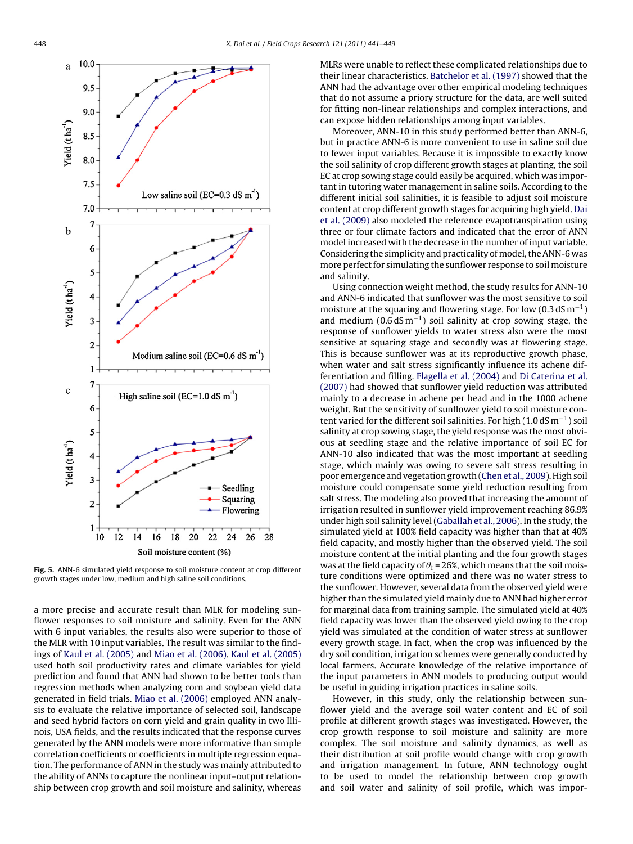<span id="page-7-0"></span>

**Fig. 5.** ANN-6 simulated yield response to soil moisture content at crop different growth stages under low, medium and high saline soil conditions.

a more precise and accurate result than MLR for modeling sunflower responses to soil moisture and salinity. Even for the ANN with 6 input variables, the results also were superior to those of the MLR with 10 input variables. The result was similar to the findings of [Kaul et al. \(2005\)](#page-8-0) and [Miao et al. \(2006\).](#page-8-0) [Kaul et al. \(2005\)](#page-8-0) used both soil productivity rates and climate variables for yield prediction and found that ANN had shown to be better tools than regression methods when analyzing corn and soybean yield data generated in field trials. [Miao et al. \(2006\)](#page-8-0) employed ANN analysis to evaluate the relative importance of selected soil, landscape and seed hybrid factors on corn yield and grain quality in two Illinois, USA fields, and the results indicated that the response curves generated by the ANN models were more informative than simple correlation coefficients or coefficients in multiple regression equation. The performance of ANN in the study was mainly attributed to the ability of ANNs to capture the nonlinear input–output relationship between crop growth and soil moisture and salinity, whereas

MLRs were unable to reflect these complicated relationships due to their linear characteristics. [Batchelor et al. \(1997\)](#page-8-0) showed that the ANN had the advantage over other empirical modeling techniques that do not assume a priory structure for the data, are well suited for fitting non-linear relationships and complex interactions, and can expose hidden relationships among input variables.

Moreover, ANN-10 in this study performed better than ANN-6, but in practice ANN-6 is more convenient to use in saline soil due to fewer input variables. Because it is impossible to exactly know the soil salinity of crop different growth stages at planting, the soil EC at crop sowing stage could easily be acquired, which was important in tutoring water management in saline soils. According to the different initial soil salinities, it is feasible to adjust soil moisture content at crop different growth stages for acquiring high yield. [Dai](#page-8-0) [et al. \(2009\)](#page-8-0) also modeled the reference evapotranspiration using three or four climate factors and indicated that the error of ANN model increased with the decrease in the number of input variable. Considering the simplicity and practicality of model, the ANN-6 was more perfect for simulating the sunflower response to soil moisture and salinity.

Using connection weight method, the study results for ANN-10 and ANN-6 indicated that sunflower was the most sensitive to soil moisture at the squaring and flowering stage. For low (0.3 dS  $m^{-1}$ ) and medium  $(0.6 dS m^{-1})$  soil salinity at crop sowing stage, the response of sunflower yields to water stress also were the most sensitive at squaring stage and secondly was at flowering stage. This is because sunflower was at its reproductive growth phase, when water and salt stress significantly influence its achene differentiation and filling. [Flagella et al. \(2004\)](#page-8-0) and [Di Caterina et al.](#page-8-0) [\(2007\)](#page-8-0) had showed that sunflower yield reduction was attributed mainly to a decrease in achene per head and in the 1000 achene weight. But the sensitivity of sunflower yield to soil moisture content varied for the different soil salinities. For high (1.0 dS m<sup>-1</sup>) soil salinity at crop sowing stage, the yield response was the most obvious at seedling stage and the relative importance of soil EC for ANN-10 also indicated that was the most important at seedling stage, which mainly was owing to severe salt stress resulting in poor emergence and vegetation growth [\(Chen et al., 2009\).](#page-8-0) High soil moisture could compensate some yield reduction resulting from salt stress. The modeling also proved that increasing the amount of irrigation resulted in sunflower yield improvement reaching 86.9% under high soil salinity level [\(Gaballah et al., 2006\).](#page-8-0) In the study, the simulated yield at 100% field capacity was higher than that at 40% field capacity, and mostly higher than the observed yield. The soil moisture content at the initial planting and the four growth stages was at the field capacity of  $\theta_{\rm f}$  = 26%, which means that the soil moisture conditions were optimized and there was no water stress to the sunflower. However, several data from the observed yield were higher than the simulated yield mainly due to ANN had higher error for marginal data from training sample. The simulated yield at 40% field capacity was lower than the observed yield owing to the crop yield was simulated at the condition of water stress at sunflower every growth stage. In fact, when the crop was influenced by the dry soil condition, irrigation schemes were generally conducted by local farmers. Accurate knowledge of the relative importance of the input parameters in ANN models to producing output would be useful in guiding irrigation practices in saline soils.

However, in this study, only the relationship between sunflower yield and the average soil water content and EC of soil profile at different growth stages was investigated. However, the crop growth response to soil moisture and salinity are more complex. The soil moisture and salinity dynamics, as well as their distribution at soil profile would change with crop growth and irrigation management. In future, ANN technology ought to be used to model the relationship between crop growth and soil water and salinity of soil profile, which was impor